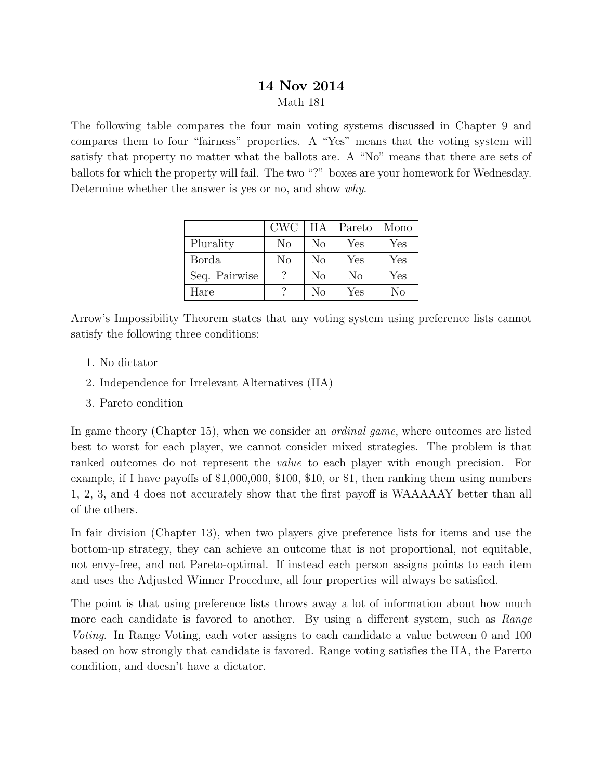## 14 Nov 2014 Math 181

The following table compares the four main voting systems discussed in Chapter 9 and compares them to four "fairness" properties. A "Yes" means that the voting system will satisfy that property no matter what the ballots are. A "No" means that there are sets of ballots for which the property will fail. The two "?" boxes are your homework for Wednesday. Determine whether the answer is yes or no, and show why.

|               | <b>CWC</b> | ПA | Pareto | Mono |
|---------------|------------|----|--------|------|
| Plurality     | No         | No | Yes    | Yes  |
| <b>Borda</b>  | No         | No | Yes    | Yes  |
| Seq. Pairwise |            | No | No     | Yes  |
| Hare          |            | Nο | Yes    | No   |

Arrow's Impossibility Theorem states that any voting system using preference lists cannot satisfy the following three conditions:

- 1. No dictator
- 2. Independence for Irrelevant Alternatives (IIA)
- 3. Pareto condition

In game theory (Chapter 15), when we consider an *ordinal game*, where outcomes are listed best to worst for each player, we cannot consider mixed strategies. The problem is that ranked outcomes do not represent the value to each player with enough precision. For example, if I have payoffs of \$1,000,000, \$100, \$10, or \$1, then ranking them using numbers 1, 2, 3, and 4 does not accurately show that the first payoff is WAAAAAY better than all of the others.

In fair division (Chapter 13), when two players give preference lists for items and use the bottom-up strategy, they can achieve an outcome that is not proportional, not equitable, not envy-free, and not Pareto-optimal. If instead each person assigns points to each item and uses the Adjusted Winner Procedure, all four properties will always be satisfied.

The point is that using preference lists throws away a lot of information about how much more each candidate is favored to another. By using a different system, such as *Range* Voting. In Range Voting, each voter assigns to each candidate a value between 0 and 100 based on how strongly that candidate is favored. Range voting satisfies the IIA, the Parerto condition, and doesn't have a dictator.